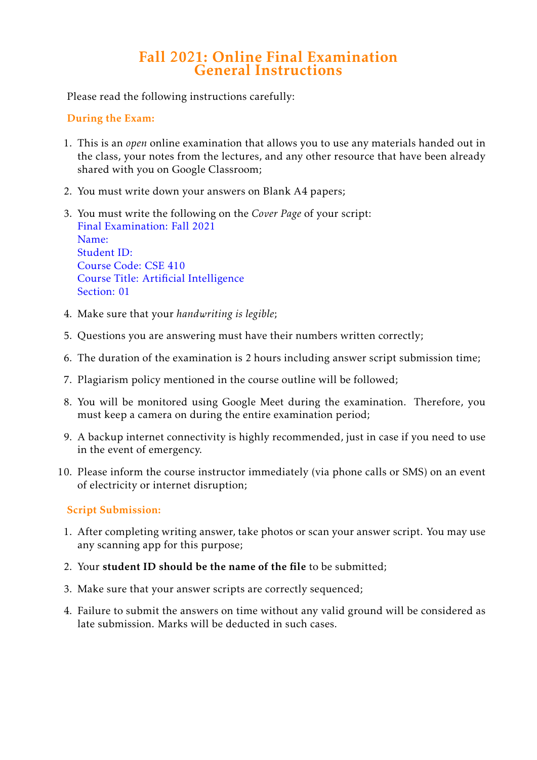# Fall 2021: Online Final Examination General Instructions

Please read the following instructions carefully:

### During the Exam:

- 1. This is an *open* online examination that allows you to use any materials handed out in the class, your notes from the lectures, and any other resource that have been already shared with you on Google Classroom;
- 2. You must write down your answers on Blank A4 papers;
- 3. You must write the following on the *Cover Page* of your script: Final Examination: Fall 2021 Name: Student ID: Course Code: CSE 410 Course Title: Artificial Intelligence Section: 01
- 4. Make sure that your *handwriting is legible*;
- 5. Questions you are answering must have their numbers written correctly;
- 6. The duration of the examination is 2 hours including answer script submission time;
- 7. Plagiarism policy mentioned in the course outline will be followed;
- 8. You will be monitored using Google Meet during the examination. Therefore, you must keep a camera on during the entire examination period;
- 9. A backup internet connectivity is highly recommended, just in case if you need to use in the event of emergency.
- 10. Please inform the course instructor immediately (via phone calls or SMS) on an event of electricity or internet disruption;

## Script Submission:

- 1. After completing writing answer, take photos or scan your answer script. You may use any scanning app for this purpose;
- 2. Your student ID should be the name of the file to be submitted;
- 3. Make sure that your answer scripts are correctly sequenced;
- 4. Failure to submit the answers on time without any valid ground will be considered as late submission. Marks will be deducted in such cases.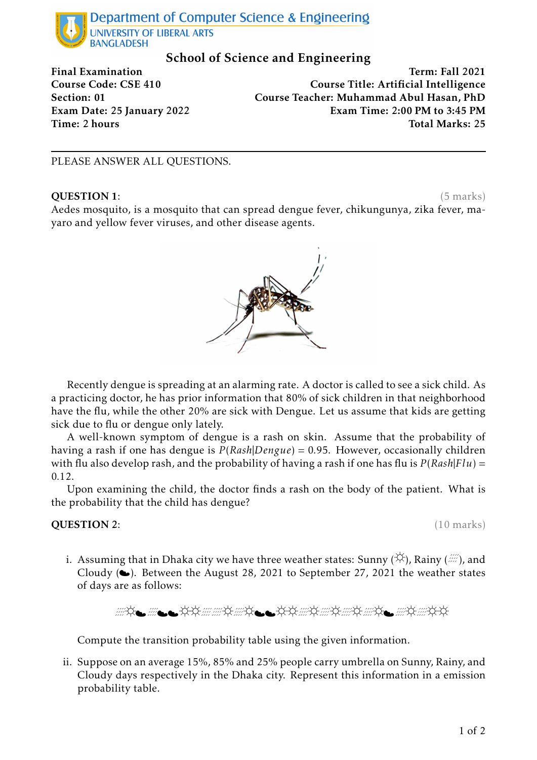

## School of Science and Engineering

Final Examination **Term: Fall 2021** Course Code: CSE 410 Course Title: Artificial Intelligence Section: 01 Course Teacher: Muhammad Abul Hasan, PhD Exam Date: 25 January 2022 Exam Time: 2:00 PM to 3:45 PM Time: 2 hours Total Marks: 25

#### PLEASE ANSWER ALL QUESTIONS.

#### **QUESTION 1:** (5 marks)

Aedes mosquito, is a mosquito that can spread dengue fever, chikungunya, zika fever, mayaro and yellow fever viruses, and other disease agents.



Recently dengue is spreading at an alarming rate. A doctor is called to see a sick child. As a practicing doctor, he has prior information that 80% of sick children in that neighborhood have the flu, while the other 20% are sick with Dengue. Let us assume that kids are getting sick due to flu or dengue only lately.

A well-known symptom of dengue is a rash on skin. Assume that the probability of having a rash if one has dengue is *P* (*Rash*|*Dengue*) = 0*.*95. However, occasionally children with flu also develop rash, and the probability of having a rash if one has flu is *P* (*Rash*|*Flu*) = 0*.*12.

Upon examining the child, the doctor finds a rash on the body of the patient. What is the probability that the child has dengue?

#### **QUESTION 2:** (10 marks)

i. Assuming that in Dhaka city we have three weather states: Sunny ( $\breve{\vee}$ ), Rainy ( $\breve{\cdots}$ ), and Cloudy  $(\bullet)$ . Between the August 28, 2021 to September 27, 2021 the weather states of days are as follows:

Compute the transition probability table using the given information.

ii. Suppose on an average 15%, 85% and 25% people carry umbrella on Sunny, Rainy, and Cloudy days respectively in the Dhaka city. Represent this information in a emission probability table.